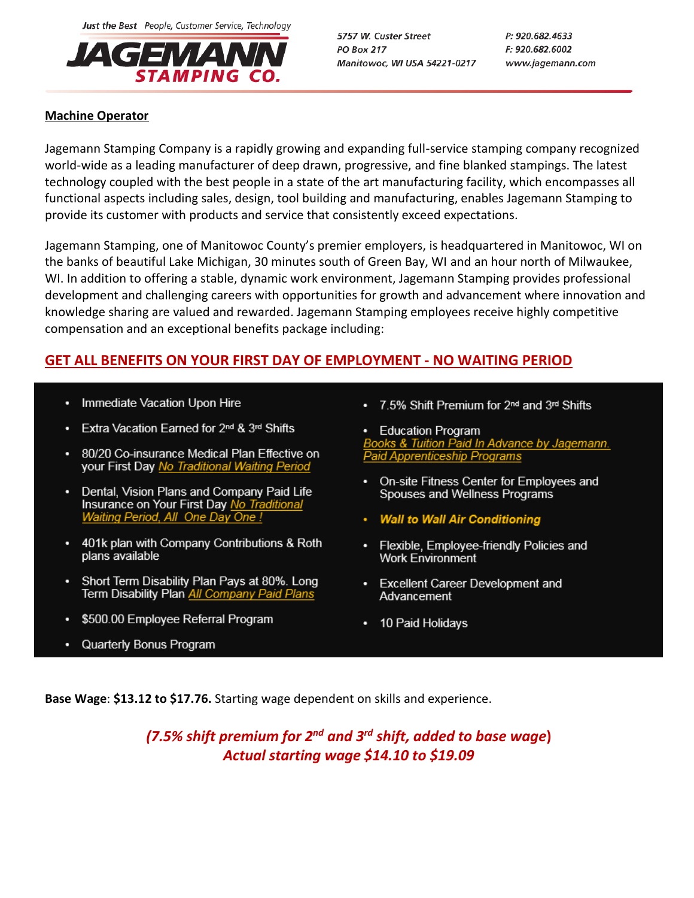Just the Best People, Customer Service, Technology



5757 W. Custer Street **PO Box 217** Manitowoc, WI USA 54221-0217 P: 920.682.4633 F: 920.682.6002 www.jagemann.com

## **Machine Operator**

Jagemann Stamping Company is a rapidly growing and expanding full-service stamping company recognized world-wide as a leading manufacturer of deep drawn, progressive, and fine blanked stampings. The latest technology coupled with the best people in a state of the art manufacturing facility, which encompasses all functional aspects including sales, design, tool building and manufacturing, enables Jagemann Stamping to provide its customer with products and service that consistently exceed expectations.

Jagemann Stamping, one of Manitowoc County's premier employers, is headquartered in Manitowoc, WI on the banks of beautiful Lake Michigan, 30 minutes south of Green Bay, WI and an hour north of Milwaukee, WI. In addition to offering a stable, dynamic work environment, Jagemann Stamping provides professional development and challenging careers with opportunities for growth and advancement where innovation and knowledge sharing are valued and rewarded. Jagemann Stamping employees receive highly competitive compensation and an exceptional benefits package including:

## **GET ALL BENEFITS ON YOUR FIRST DAY OF EMPLOYMENT - NO WAITING PERIOD**

- Immediate Vacation Upon Hire
- Extra Vacation Earned for 2<sup>nd</sup> & 3<sup>rd</sup> Shifts
- 80/20 Co-insurance Medical Plan Effective on your First Day No Traditional Waiting Period
- Dental, Vision Plans and Company Paid Life Insurance on Your First Day No Traditional **Waiting Period, All One Day One!**
- 401k plan with Company Contributions & Roth plans available
- Short Term Disability Plan Pays at 80%. Long Term Disability Plan All Company Paid Plans
- \$500.00 Employee Referral Program
- Quarterly Bonus Program

• 7.5% Shift Premium for 2<sup>nd</sup> and 3<sup>rd</sup> Shifts

• Education Program looks & Tuition Paid In Advance by Jagemann. **Paid Apprenticeship Programs** 

- On-site Fitness Center for Employees and Spouses and Wellness Programs
- **Wall to Wall Air Conditioning**
- Flexible, Employee-friendly Policies and  $\bullet$  . Work Environment
- Excellent Career Development and Advancement
- 10 Paid Holidays

**Base Wage**: **\$13.12 to \$17.76.** Starting wage dependent on skills and experience.

*(7.5% shift premium for 2nd and 3rd shift, added to base wage***)** *Actual starting wage \$14.10 to \$19.09*